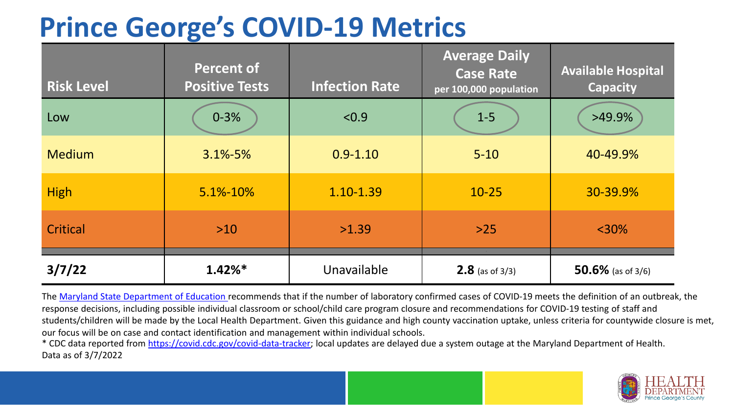# **Prince George's COVID-19 Metrics**

| <b>Risk Level</b> | <b>Percent of</b><br><b>Positive Tests</b> | <b>Infection Rate</b> | <b>Average Daily</b><br><b>Case Rate</b><br>per 100,000 population | <b>Available Hospital</b><br><b>Capacity</b> |
|-------------------|--------------------------------------------|-----------------------|--------------------------------------------------------------------|----------------------------------------------|
| Low               | $0 - 3%$                                   | < 0.9                 | $1-5$                                                              | $>49.9\%$                                    |
| <b>Medium</b>     | $3.1\% - 5\%$                              | $0.9 - 1.10$          | $5 - 10$                                                           | 40-49.9%                                     |
| <b>High</b>       | 5.1%-10%                                   | 1.10-1.39             | $10 - 25$                                                          | 30-39.9%                                     |
| Critical          | $>10$                                      | >1.39                 | $>25$                                                              | $< 30\%$                                     |
| 3/7/22            | $1.42\%*$                                  | Unavailable           | <b>2.8</b> (as of $3/3$ )                                          | 50.6% (as of $3/6$ )                         |

The [Maryland State Department of Education](https://earlychildhood.marylandpublicschools.org/system/files/filedepot/3/covid_guidance_full_080420.pdf) recommends that if the number of laboratory confirmed cases of COVID-19 meets the definition of an outbreak, the response decisions, including possible individual classroom or school/child care program closure and recommendations for COVID-19 testing of staff and students/children will be made by the Local Health Department. Given this guidance and high county vaccination uptake, unless criteria for countywide closure is met, our focus will be on case and contact identification and management within individual schools.

\* CDC data reported from <https://covid.cdc.gov/covid-data-tracker>; local updates are delayed due a system outage at the Maryland Department of Health. Data as of 3/7/2022

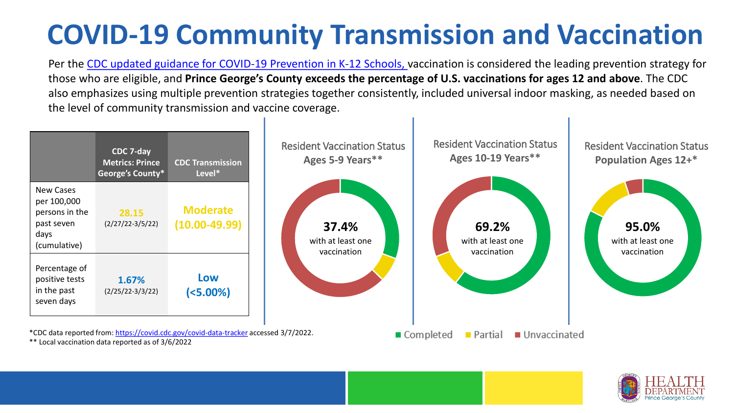# **COVID-19 Community Transmission and Vaccination**

Per the [CDC updated guidance for COVID-19 Prevention in K-12 Schools,](https://www.cdc.gov/coronavirus/2019-ncov/community/schools-childcare/k-12-guidance.html) vaccination is considered the leading prevention strategy for those who are eligible, and **Prince George's County exceeds the percentage of U.S. vaccinations for ages 12 and above**. The CDC also emphasizes using multiple prevention strategies together consistently, included universal indoor masking, as needed based on the level of community transmission and vaccine coverage.



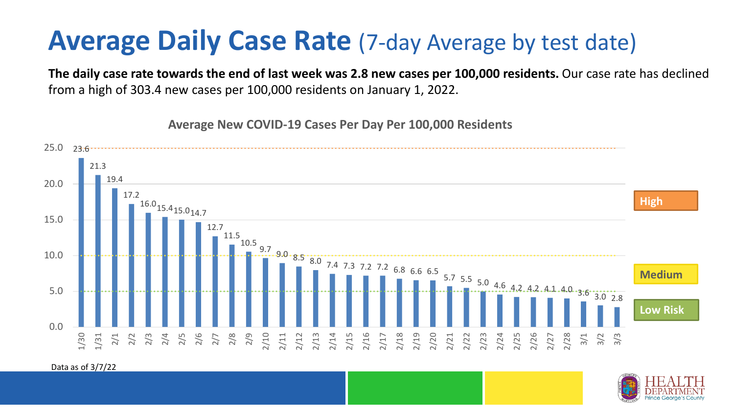### **Average Daily Case Rate** (7-day Average by test date)

**The daily case rate towards the end of last week was 2.8 new cases per 100,000 residents.** Our case rate has declined from a high of 303.4 new cases per 100,000 residents on January 1, 2022.

23.6 21.3 19.4 17.2  $16.0_{15.415.0_{14.7}}$ 12.7 11.5 10.5 9.7  $9.0 \cdot 8.5 \cdot 8.0 \cdot 7.4 \cdot 7.3 \cdot 7.2 \cdot 7.2 \cdot 6.8 \cdot 6.6 \cdot 6.5$ 5.7 5.5 5.0 4.6 4.2 4.2 4.1 4.0 3.6 3.0 2.8  $0.0$ 5.0 10.0 15.0 20.0 25.0 1/30 1/31 2/1 2/2 2/3 2/4 2/5 2/6 2/7 2/8 2/9 2/10 2/11 2/13<br>2/13 2/15 2/23 2/23 2/25<br>2/22 2/23 2/23 2/24 2/25 2/27 2/28 3/1 3/2 3/3 **Low Risk Medium High**

**Average New COVID-19 Cases Per Day Per 100,000 Residents**

Data as of 3/7/22